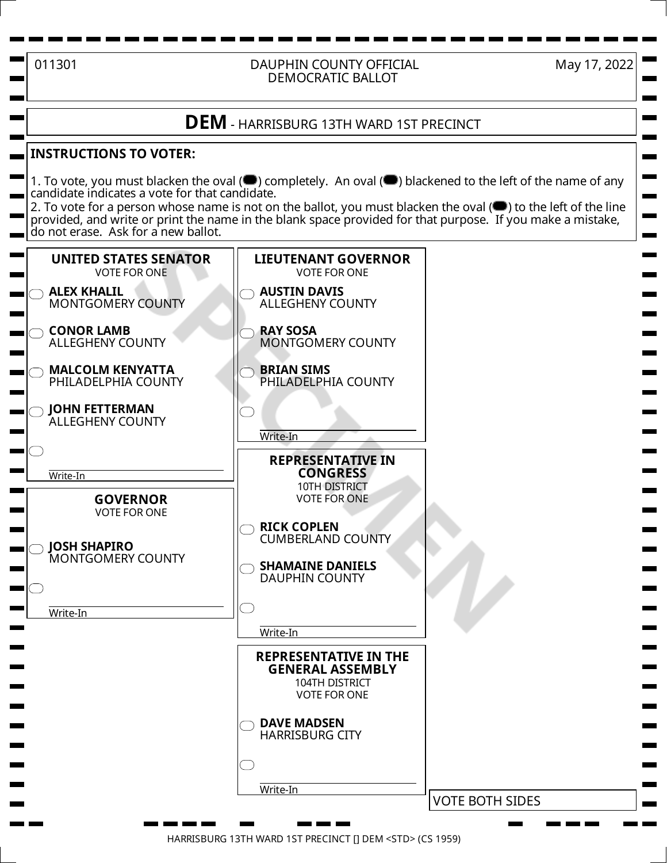## 011301 DAUPHIN COUNTY OFFICIAL DEMOCRATIC BALLOT

May 17, 2022